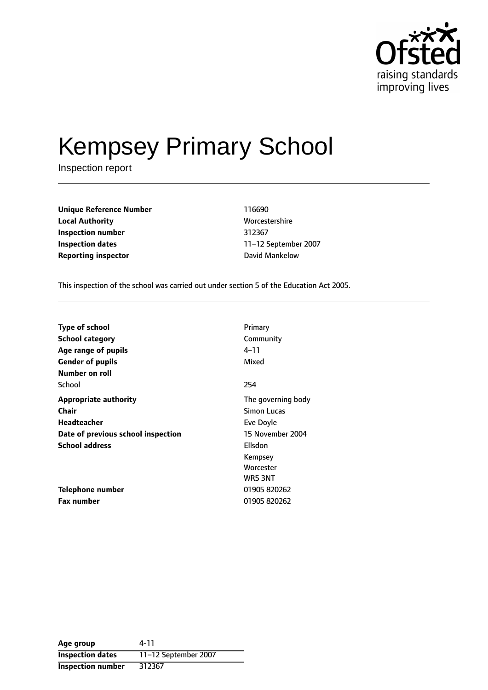

# Kempsey Primary School

Inspection report

| <b>Unique Reference Number</b> | 116690         |
|--------------------------------|----------------|
| <b>Local Authority</b>         | Worcestershire |
| Inspection number              | 312367         |
| <b>Inspection dates</b>        | 11–12 Septembe |
| <b>Reporting inspector</b>     | David Mankelow |

**Worcestershire Inspection number** 312367 **Inspection dates** 1112 September 2007

This inspection of the school was carried out under section 5 of the Education Act 2005.

| Type of school                     | Primary            |
|------------------------------------|--------------------|
| School category                    | Community          |
| Age range of pupils                | 4–11               |
| <b>Gender of pupils</b>            | Mixed              |
| Number on roll                     |                    |
| School                             | 254                |
| <b>Appropriate authority</b>       | The governing body |
| Chair                              | Simon Lucas        |
| Headteacher                        | Eve Doyle          |
| Date of previous school inspection | 15 November 2004   |
| <b>School address</b>              | Ellsdon            |
|                                    | Kempsey            |
|                                    | Worcester          |
|                                    | WR5 3NT            |
| Telephone number                   | 01905 820262       |
| <b>Fax number</b>                  | 01905 820262       |

**Age group** 4-11 **Inspection dates** 11-12 September 2007 **Inspection number** 312367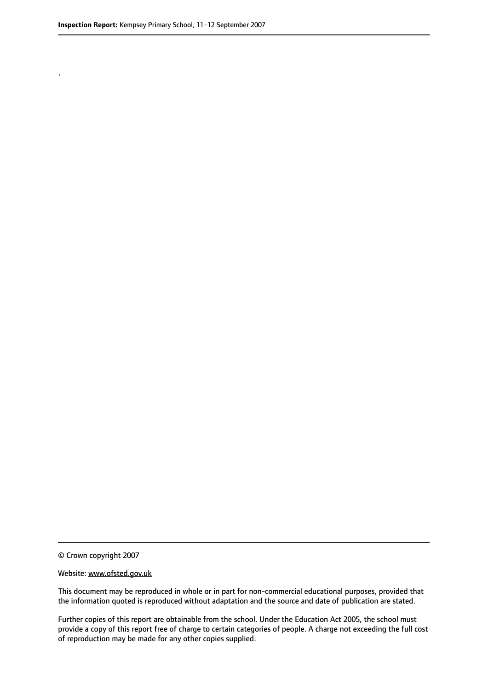.

© Crown copyright 2007

#### Website: www.ofsted.gov.uk

This document may be reproduced in whole or in part for non-commercial educational purposes, provided that the information quoted is reproduced without adaptation and the source and date of publication are stated.

Further copies of this report are obtainable from the school. Under the Education Act 2005, the school must provide a copy of this report free of charge to certain categories of people. A charge not exceeding the full cost of reproduction may be made for any other copies supplied.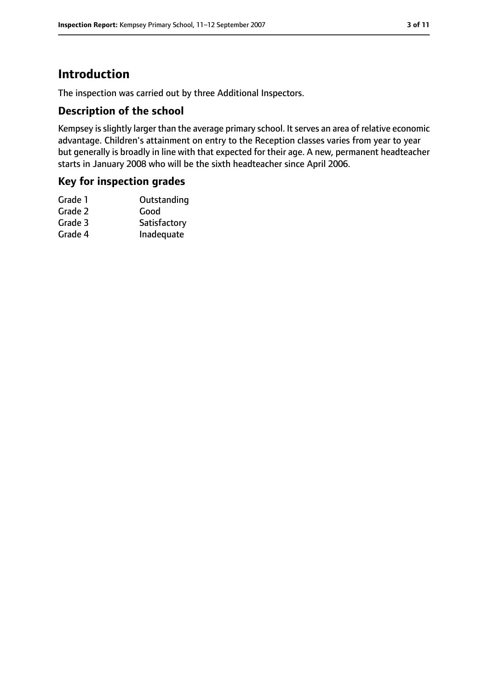# **Introduction**

The inspection was carried out by three Additional Inspectors.

#### **Description of the school**

Kempsey is slightly larger than the average primary school. It serves an area of relative economic advantage. Children's attainment on entry to the Reception classes varies from year to year but generally is broadly in line with that expected for their age. A new, permanent headteacher starts in January 2008 who will be the sixth headteacher since April 2006.

#### **Key for inspection grades**

| Satisfactory |
|--------------|
| Inadequate   |
|              |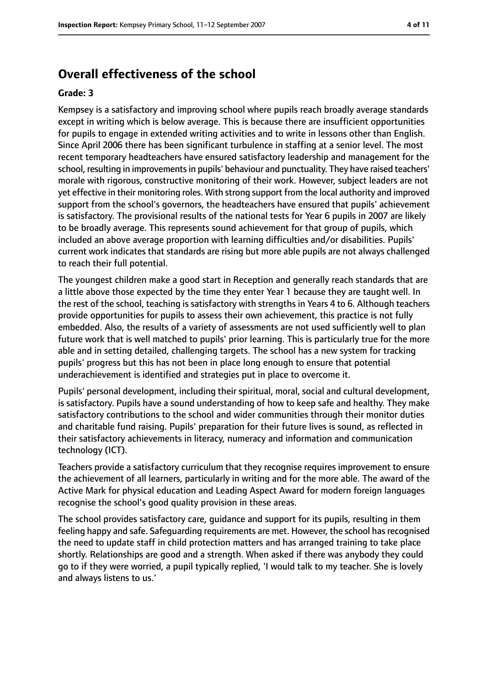# **Overall effectiveness of the school**

#### **Grade: 3**

Kempsey is a satisfactory and improving school where pupils reach broadly average standards except in writing which is below average. This is because there are insufficient opportunities for pupils to engage in extended writing activities and to write in lessons other than English. Since April 2006 there has been significant turbulence in staffing at a senior level. The most recent temporary headteachers have ensured satisfactory leadership and management for the school, resulting in improvements in pupils' behaviour and punctuality. They have raised teachers' morale with rigorous, constructive monitoring of their work. However, subject leaders are not yet effective in their monitoring roles. With strong support from the local authority and improved support from the school's governors, the headteachers have ensured that pupils' achievement is satisfactory. The provisional results of the national tests for Year 6 pupils in 2007 are likely to be broadly average. This represents sound achievement for that group of pupils, which included an above average proportion with learning difficulties and/or disabilities. Pupils' current work indicates that standards are rising but more able pupils are not always challenged to reach their full potential.

The youngest children make a good start in Reception and generally reach standards that are a little above those expected by the time they enter Year 1 because they are taught well. In the rest of the school, teaching is satisfactory with strengths in Years 4 to 6. Although teachers provide opportunities for pupils to assess their own achievement, this practice is not fully embedded. Also, the results of a variety of assessments are not used sufficiently well to plan future work that is well matched to pupils' prior learning. This is particularly true for the more able and in setting detailed, challenging targets. The school has a new system for tracking pupils' progress but this has not been in place long enough to ensure that potential underachievement is identified and strategies put in place to overcome it.

Pupils' personal development, including their spiritual, moral, social and cultural development, is satisfactory. Pupils have a sound understanding of how to keep safe and healthy. They make satisfactory contributions to the school and wider communities through their monitor duties and charitable fund raising. Pupils' preparation for their future lives is sound, as reflected in their satisfactory achievements in literacy, numeracy and information and communication technology (ICT).

Teachers provide a satisfactory curriculum that they recognise requires improvement to ensure the achievement of all learners, particularly in writing and for the more able. The award of the Active Mark for physical education and Leading Aspect Award for modern foreign languages recognise the school's good quality provision in these areas.

The school provides satisfactory care, guidance and support for its pupils, resulting in them feeling happy and safe. Safeguarding requirements are met. However, the school hasrecognised the need to update staff in child protection matters and has arranged training to take place shortly. Relationships are good and a strength. When asked if there was anybody they could go to if they were worried, a pupil typically replied, 'I would talk to my teacher. She is lovely and always listens to us.'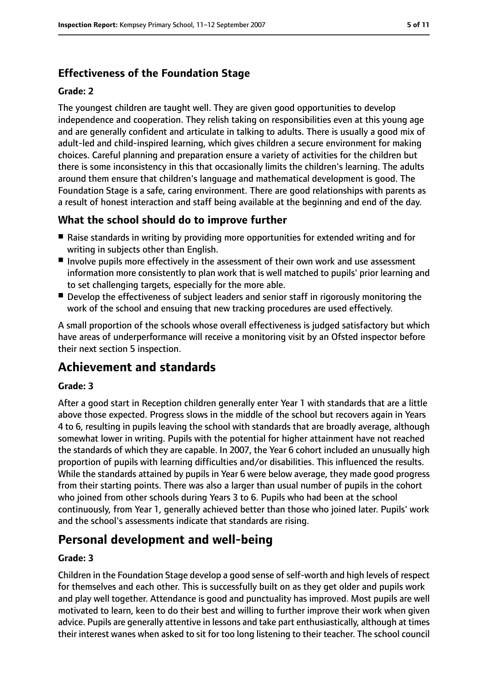# **Effectiveness of the Foundation Stage**

#### **Grade: 2**

The youngest children are taught well. They are given good opportunities to develop independence and cooperation. They relish taking on responsibilities even at this young age and are generally confident and articulate in talking to adults. There is usually a good mix of adult-led and child-inspired learning, which gives children a secure environment for making choices. Careful planning and preparation ensure a variety of activities for the children but there is some inconsistency in this that occasionally limits the children's learning. The adults around them ensure that children's language and mathematical development is good. The Foundation Stage is a safe, caring environment. There are good relationships with parents as a result of honest interaction and staff being available at the beginning and end of the day.

## **What the school should do to improve further**

- Raise standards in writing by providing more opportunities for extended writing and for writing in subjects other than English.
- Involve pupils more effectively in the assessment of their own work and use assessment information more consistently to plan work that is well matched to pupils' prior learning and to set challenging targets, especially for the more able.
- Develop the effectiveness of subject leaders and senior staff in rigorously monitoring the work of the school and ensuing that new tracking procedures are used effectively.

A small proportion of the schools whose overall effectiveness is judged satisfactory but which have areas of underperformance will receive a monitoring visit by an Ofsted inspector before their next section 5 inspection.

# **Achievement and standards**

#### **Grade: 3**

After a good start in Reception children generally enter Year 1 with standards that are a little above those expected. Progress slows in the middle of the school but recovers again in Years 4 to 6, resulting in pupils leaving the school with standards that are broadly average, although somewhat lower in writing. Pupils with the potential for higher attainment have not reached the standards of which they are capable. In 2007, the Year 6 cohort included an unusually high proportion of pupils with learning difficulties and/or disabilities. This influenced the results. While the standards attained by pupils in Year 6 were below average, they made good progress from their starting points. There was also a larger than usual number of pupils in the cohort who joined from other schools during Years 3 to 6. Pupils who had been at the school continuously, from Year 1, generally achieved better than those who joined later. Pupils' work and the school's assessments indicate that standards are rising.

# **Personal development and well-being**

#### **Grade: 3**

Children in the Foundation Stage develop a good sense of self-worth and high levels of respect for themselves and each other. This is successfully built on as they get older and pupils work and play well together. Attendance is good and punctuality has improved. Most pupils are well motivated to learn, keen to do their best and willing to further improve their work when given advice. Pupils are generally attentive in lessons and take part enthusiastically, although at times their interest wanes when asked to sit for too long listening to their teacher. The school council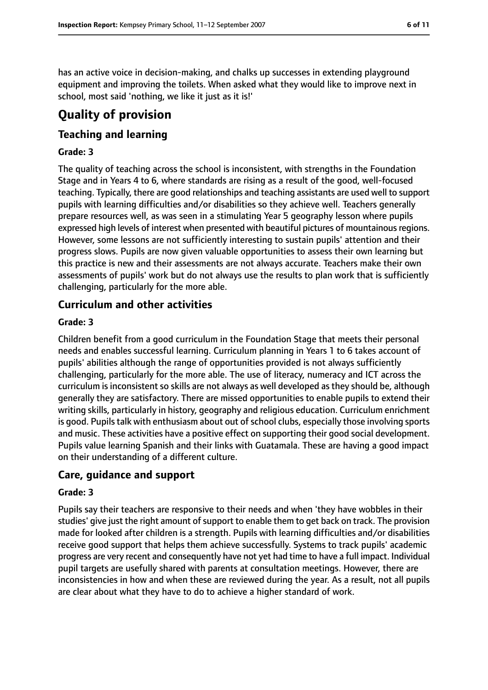has an active voice in decision-making, and chalks up successes in extending playground equipment and improving the toilets. When asked what they would like to improve next in school, most said 'nothing, we like it just as it is!'

# **Quality of provision**

# **Teaching and learning**

#### **Grade: 3**

The quality of teaching across the school is inconsistent, with strengths in the Foundation Stage and in Years 4 to 6, where standards are rising as a result of the good, well-focused teaching. Typically, there are good relationships and teaching assistants are used well to support pupils with learning difficulties and/or disabilities so they achieve well. Teachers generally prepare resources well, as was seen in a stimulating Year 5 geography lesson where pupils expressed high levels of interest when presented with beautiful pictures of mountainous regions. However, some lessons are not sufficiently interesting to sustain pupils' attention and their progress slows. Pupils are now given valuable opportunities to assess their own learning but this practice is new and their assessments are not always accurate. Teachers make their own assessments of pupils' work but do not always use the results to plan work that is sufficiently challenging, particularly for the more able.

## **Curriculum and other activities**

#### **Grade: 3**

Children benefit from a good curriculum in the Foundation Stage that meets their personal needs and enables successful learning. Curriculum planning in Years 1 to 6 takes account of pupils' abilities although the range of opportunities provided is not always sufficiently challenging, particularly for the more able. The use of literacy, numeracy and ICT across the curriculum is inconsistent so skills are not always as well developed as they should be, although generally they are satisfactory. There are missed opportunities to enable pupils to extend their writing skills, particularly in history, geography and religious education. Curriculum enrichment is good. Pupils talk with enthusiasm about out of school clubs, especially those involving sports and music. These activities have a positive effect on supporting their good social development. Pupils value learning Spanish and their links with Guatamala. These are having a good impact on their understanding of a different culture.

## **Care, guidance and support**

#### **Grade: 3**

Pupils say their teachers are responsive to their needs and when 'they have wobbles in their studies' give just the right amount of support to enable them to get back on track. The provision made for looked after children is a strength. Pupils with learning difficulties and/or disabilities receive good support that helps them achieve successfully. Systems to track pupils' academic progress are very recent and consequently have not yet had time to have a full impact. Individual pupil targets are usefully shared with parents at consultation meetings. However, there are inconsistencies in how and when these are reviewed during the year. As a result, not all pupils are clear about what they have to do to achieve a higher standard of work.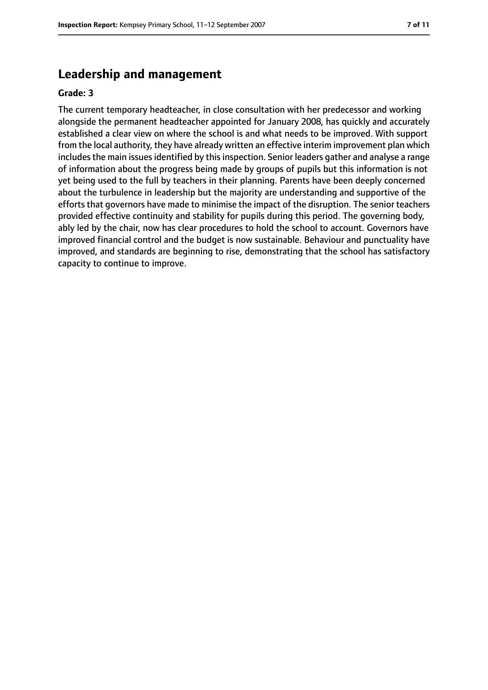# **Leadership and management**

#### **Grade: 3**

The current temporary headteacher, in close consultation with her predecessor and working alongside the permanent headteacher appointed for January 2008, has quickly and accurately established a clear view on where the school is and what needs to be improved. With support from the local authority, they have already written an effective interim improvement plan which includes the main issues identified by this inspection. Senior leaders gather and analyse a range of information about the progress being made by groups of pupils but this information is not yet being used to the full by teachers in their planning. Parents have been deeply concerned about the turbulence in leadership but the majority are understanding and supportive of the efforts that governors have made to minimise the impact of the disruption. The senior teachers provided effective continuity and stability for pupils during this period. The governing body, ably led by the chair, now has clear procedures to hold the school to account. Governors have improved financial control and the budget is now sustainable. Behaviour and punctuality have improved, and standards are beginning to rise, demonstrating that the school has satisfactory capacity to continue to improve.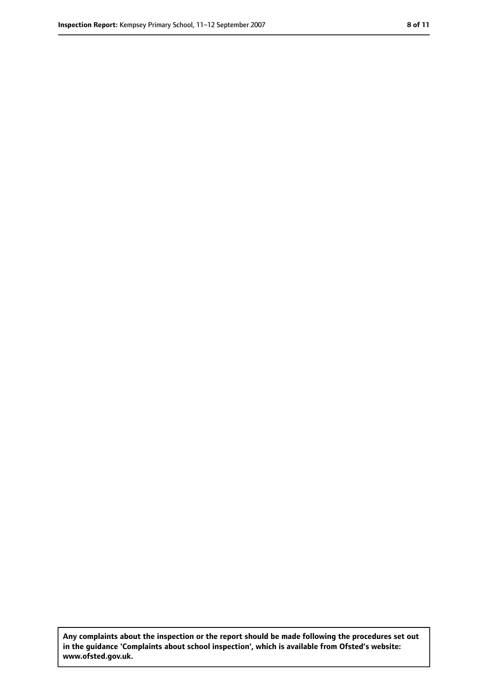**Any complaints about the inspection or the report should be made following the procedures set out in the guidance 'Complaints about school inspection', which is available from Ofsted's website: www.ofsted.gov.uk.**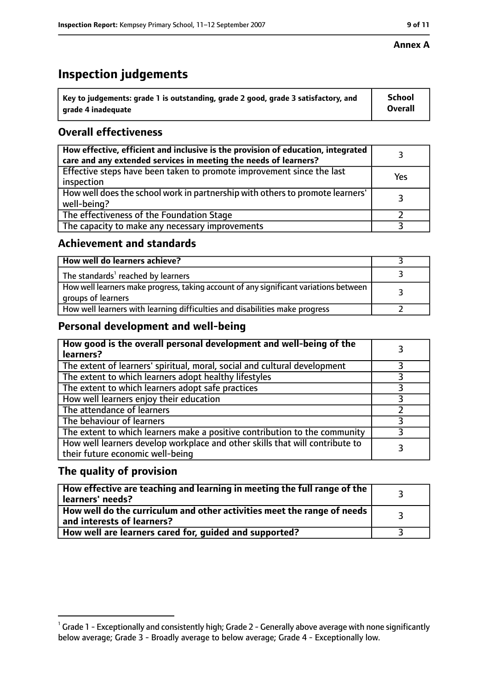# **Inspection judgements**

| $^{\backprime}$ Key to judgements: grade 1 is outstanding, grade 2 good, grade 3 satisfactory, and | <b>School</b>  |
|----------------------------------------------------------------------------------------------------|----------------|
| arade 4 inadeguate                                                                                 | <b>Overall</b> |

# **Overall effectiveness**

| How effective, efficient and inclusive is the provision of education, integrated<br>care and any extended services in meeting the needs of learners? |     |
|------------------------------------------------------------------------------------------------------------------------------------------------------|-----|
| Effective steps have been taken to promote improvement since the last<br>inspection                                                                  | Yes |
| How well does the school work in partnership with others to promote learners'<br>well-being?                                                         |     |
| The effectiveness of the Foundation Stage                                                                                                            |     |
| The capacity to make any necessary improvements                                                                                                      |     |

### **Achievement and standards**

| How well do learners achieve?                                                                               |  |
|-------------------------------------------------------------------------------------------------------------|--|
| The standards <sup>1</sup> reached by learners                                                              |  |
| How well learners make progress, taking account of any significant variations between<br>groups of learners |  |
| How well learners with learning difficulties and disabilities make progress                                 |  |

# **Personal development and well-being**

| How good is the overall personal development and well-being of the<br>learners?                                  |  |
|------------------------------------------------------------------------------------------------------------------|--|
| The extent of learners' spiritual, moral, social and cultural development                                        |  |
| The extent to which learners adopt healthy lifestyles                                                            |  |
| The extent to which learners adopt safe practices                                                                |  |
| How well learners enjoy their education                                                                          |  |
| The attendance of learners                                                                                       |  |
| The behaviour of learners                                                                                        |  |
| The extent to which learners make a positive contribution to the community                                       |  |
| How well learners develop workplace and other skills that will contribute to<br>their future economic well-being |  |

# **The quality of provision**

| How effective are teaching and learning in meeting the full range of the<br>learners' needs?          |  |
|-------------------------------------------------------------------------------------------------------|--|
| How well do the curriculum and other activities meet the range of needs<br>and interests of learners? |  |
| How well are learners cared for, guided and supported?                                                |  |

 $^1$  Grade 1 - Exceptionally and consistently high; Grade 2 - Generally above average with none significantly below average; Grade 3 - Broadly average to below average; Grade 4 - Exceptionally low.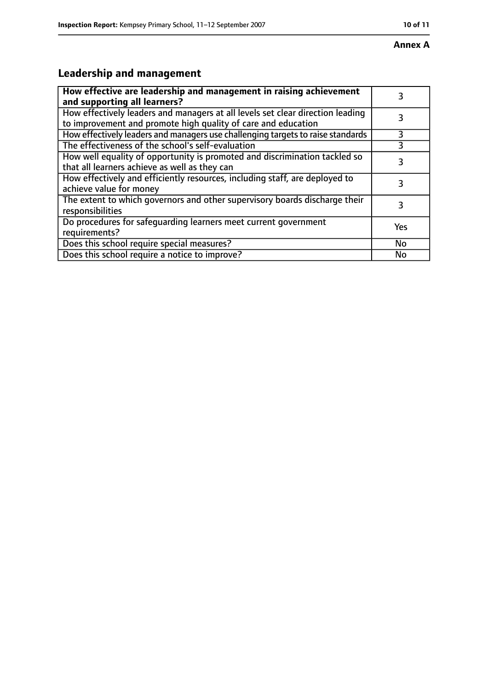# **Leadership and management**

| How effective are leadership and management in raising achievement<br>and supporting all learners?                                              | 3   |
|-------------------------------------------------------------------------------------------------------------------------------------------------|-----|
| How effectively leaders and managers at all levels set clear direction leading<br>to improvement and promote high quality of care and education |     |
| How effectively leaders and managers use challenging targets to raise standards                                                                 | 3   |
| The effectiveness of the school's self-evaluation                                                                                               |     |
| How well equality of opportunity is promoted and discrimination tackled so<br>that all learners achieve as well as they can                     | 3   |
| How effectively and efficiently resources, including staff, are deployed to<br>achieve value for money                                          | 3   |
| The extent to which governors and other supervisory boards discharge their<br>responsibilities                                                  | 3   |
| Do procedures for safequarding learners meet current government<br>requirements?                                                                | Yes |
| Does this school require special measures?                                                                                                      | No  |
| Does this school require a notice to improve?                                                                                                   | No  |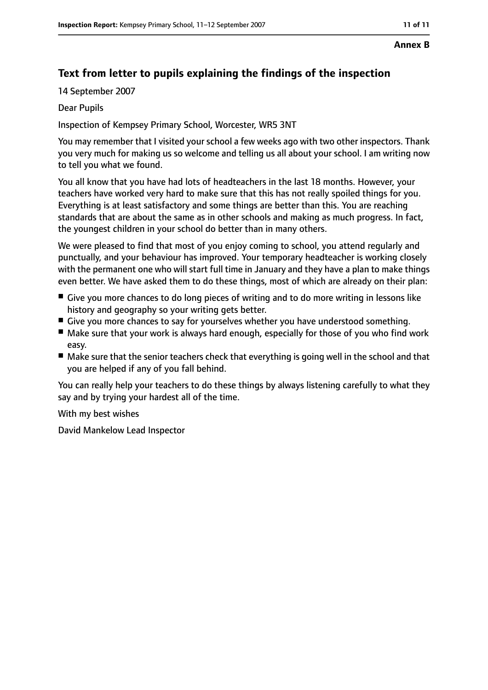#### **Annex B**

# **Text from letter to pupils explaining the findings of the inspection**

14 September 2007

#### Dear Pupils

Inspection of Kempsey Primary School, Worcester, WR5 3NT

You may remember that I visited your school a few weeks ago with two other inspectors. Thank you very much for making us so welcome and telling us all about your school. I am writing now to tell you what we found.

You all know that you have had lots of headteachers in the last 18 months. However, your teachers have worked very hard to make sure that this has not really spoiled things for you. Everything is at least satisfactory and some things are better than this. You are reaching standards that are about the same as in other schools and making as much progress. In fact, the youngest children in your school do better than in many others.

We were pleased to find that most of you enjoy coming to school, you attend regularly and punctually, and your behaviour has improved. Your temporary headteacher is working closely with the permanent one who will start full time in January and they have a plan to make things even better. We have asked them to do these things, most of which are already on their plan:

- Give you more chances to do long pieces of writing and to do more writing in lessons like history and geography so your writing gets better.
- Give you more chances to say for yourselves whether you have understood something.
- Make sure that your work is always hard enough, especially for those of you who find work easy.
- Make sure that the senior teachers check that everything is going well in the school and that you are helped if any of you fall behind.

You can really help your teachers to do these things by always listening carefully to what they say and by trying your hardest all of the time.

With my best wishes

David Mankelow Lead Inspector